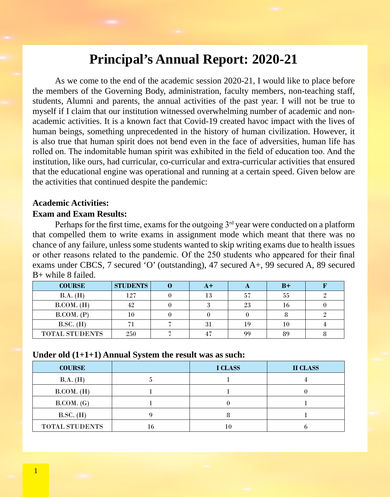# **Principal's Annual Report: 2020-21**

As we come to the end of the academic session 2020-21, I would like to place before the members of the Governing Body, administration, faculty members, non-teaching staff, students, Alumni and parents, the annual activities of the past year. I will not be true to myself if I claim that our institution witnessed overwhelming number of academic and nonacademic activities. It is a known fact that Covid-19 created havoc impact with the lives of human beings, something unprecedented in the history of human civilization. However, it is also true that human spirit does not bend even in the face of adversities, human life has rolled on. The indomitable human spirit was exhibited in the field of education too. And the institution, like ours, had curricular, co-curricular and extra-curricular activities that ensured that the educational engine was operational and running at a certain speed. Given below are the activities that continued despite the pandemic:

## **Academic Activities:**

## **Exam and Exam Results:**

Perhaps for the first time, exams for the outgoing  $3<sup>rd</sup>$  year were conducted on a platform that compelled them to write exams in assignment mode which meant that there was no chance of any failure, unless some students wanted to skip writing exams due to health issues or other reasons related to the pandemic. Of the 250 students who appeared for their final exams under CBCS, 7 secured 'O' (outstanding), 47 secured A+, 99 secured A, 89 secured B+ while 8 failed.

| <b>COURSE</b>         | <b>STUDENTS</b> | A+ |    | $B+$ |  |
|-----------------------|-----------------|----|----|------|--|
| B.A. (H)              | 127             | 13 | 57 | 55   |  |
| B. COM. (H)           | 42              |    | 23 |      |  |
| B. COM. (P)           |                 |    |    |      |  |
| $B.SC.$ (H)           |                 | 31 | 19 | 10   |  |
| <b>TOTAL STUDENTS</b> | 250             | 47 | 99 | 89   |  |

### **Under old (1+1+1) Annual System the result was as such:**

| <b>COURSE</b>  |    | <b>I CLASS</b> | <b>II CLASS</b> |
|----------------|----|----------------|-----------------|
| B.A. (H)       |    |                |                 |
| B. COM. (H)    |    |                |                 |
| B. COM. (G)    |    |                |                 |
| $B.SC.$ (H)    |    |                |                 |
| TOTAL STUDENTS | 16 |                |                 |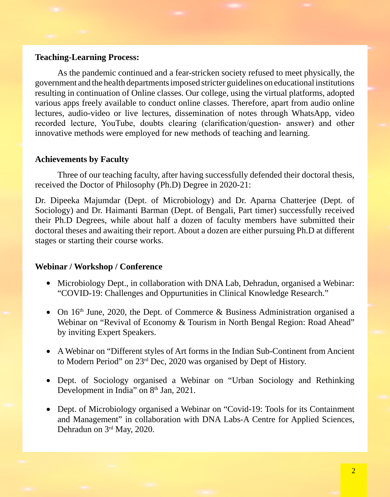## **Teaching-Learning Process:**

As the pandemic continued and a fear-stricken society refused to meet physically, the government and the health departments imposed stricter guidelines on educational institutions resulting in continuation of Online classes. Our college, using the virtual platforms, adopted various apps freely available to conduct online classes. Therefore, apart from audio online lectures, audio-video or live lectures, dissemination of notes through WhatsApp, video recorded lecture, YouTube, doubts clearing (clarification/question- answer) and other innovative methods were employed for new methods of teaching and learning.

## **Achievements by Faculty**

Three of our teaching faculty, after having successfully defended their doctoral thesis, received the Doctor of Philosophy (Ph.D) Degree in 2020-21:

Dr. Dipeeka Majumdar (Dept. of Microbiology) and Dr. Aparna Chatterjee (Dept. of Sociology) and Dr. Haimanti Barman (Dept. of Bengali, Part timer) successfully received their Ph.D Degrees, while about half a dozen of faculty members have submitted their doctoral theses and awaiting their report. About a dozen are either pursuing Ph.D at different stages or starting their course works.

#### **Webinar / Workshop / Conference**

- Microbiology Dept., in collaboration with DNA Lab, Dehradun, organised a Webinar: "COVID-19: Challenges and Oppurtunities in Clinical Knowledge Research."
- On  $16<sup>th</sup>$  June, 2020, the Dept. of Commerce & Business Administration organised a Webinar on "Revival of Economy & Tourism in North Bengal Region: Road Ahead" by inviting Expert Speakers.
- A Webinar on "Different styles of Art forms in the Indian Sub-Continent from Ancient to Modern Period" on 23rd Dec, 2020 was organised by Dept of History.
- Dept. of Sociology organised a Webinar on "Urban Sociology and Rethinking Development in India" on 8<sup>th</sup> Jan, 2021.
- Dept. of Microbiology organised a Webinar on "Covid-19: Tools for its Containment and Management" in collaboration with DNA Labs-A Centre for Applied Sciences, Dehradun on 3rd May, 2020.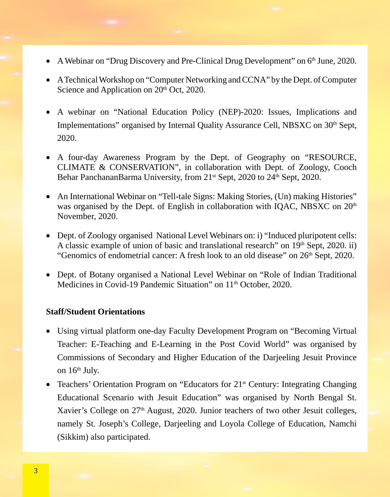- A Webinar on "Drug Discovery and Pre-Clinical Drug Development" on 6<sup>th</sup> June, 2020.
- A Technical Workshop on "Computer Networking and CCNA" by the Dept. of Computer Science and Application on 20<sup>th</sup> Oct, 2020.
- A webinar on "National Education Policy (NEP)-2020: Issues, Implications and Implementations" organised by Internal Quality Assurance Cell, NBSXC on 30<sup>th</sup> Sept, 2020.
- A four-day Awareness Program by the Dept. of Geography on "RESOURCE, CLIMATE & CONSERVATION", in collaboration with Dept. of Zoology, Cooch Behar PanchananBarma University, from 21<sup>st</sup> Sept, 2020 to 24<sup>th</sup> Sept, 2020.
- An International Webinar on "Tell-tale Signs: Making Stories, (Un) making Histories" was organised by the Dept. of English in collaboration with IQAC, NBSXC on 20<sup>th</sup> November, 2020.
- Dept. of Zoology organised National Level Webinars on: i) "Induced pluripotent cells: A classic example of union of basic and translational research" on 19th Sept, 2020. ii) "Genomics of endometrial cancer: A fresh look to an old disease" on 26<sup>th</sup> Sept, 2020.
- Dept. of Botany organised a National Level Webinar on "Role of Indian Traditional Medicines in Covid-19 Pandemic Situation" on 11<sup>th</sup> October, 2020.

## **Staff/Student Orientations**

- Using virtual platform one-day Faculty Development Program on "Becoming Virtual Teacher: E-Teaching and E-Learning in the Post Covid World" was organised by Commissions of Secondary and Higher Education of the Darjeeling Jesuit Province on 16<sup>th</sup> July.
- Teachers' Orientation Program on "Educators for 21<sup>st</sup> Century: Integrating Changing Educational Scenario with Jesuit Education" was organised by North Bengal St. Xavier's College on 27<sup>th</sup> August, 2020. Junior teachers of two other Jesuit colleges, namely St. Joseph's College, Darjeeling and Loyola College of Education, Namchi (Sikkim) also participated.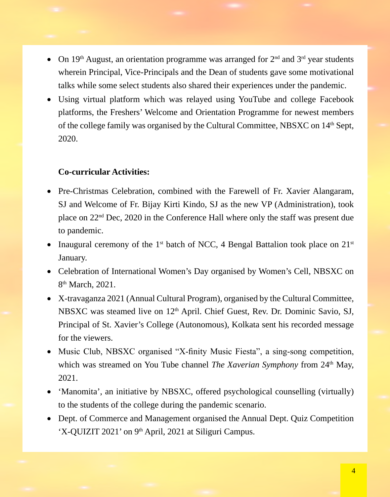- On 19<sup>th</sup> August, an orientation programme was arranged for  $2<sup>nd</sup>$  and  $3<sup>rd</sup>$  year students wherein Principal, Vice-Principals and the Dean of students gave some motivational talks while some select students also shared their experiences under the pandemic.
- Using virtual platform which was relayed using YouTube and college Facebook platforms, the Freshers' Welcome and Orientation Programme for newest members of the college family was organised by the Cultural Committee, NBSXC on 14th Sept, 2020.

## **Co-curricular Activities:**

- Pre-Christmas Celebration, combined with the Farewell of Fr. Xavier Alangaram, SJ and Welcome of Fr. Bijay Kirti Kindo, SJ as the new VP (Administration), took place on 22nd Dec, 2020 in the Conference Hall where only the staff was present due to pandemic.
- Inaugural ceremony of the 1<sup>st</sup> batch of NCC, 4 Bengal Battalion took place on  $21^{st}$ January.
- Celebration of International Women's Day organised by Women's Cell, NBSXC on 8<sup>th</sup> March, 2021.
- X-travaganza 2021 (Annual Cultural Program), organised by the Cultural Committee, NBSXC was steamed live on 12<sup>th</sup> April. Chief Guest, Rev. Dr. Dominic Savio, SJ, Principal of St. Xavier's College (Autonomous), Kolkata sent his recorded message for the viewers.
- Music Club, NBSXC organised "X-finity Music Fiesta", a sing-song competition, which was streamed on You Tube channel *The Xaverian Symphony* from 24<sup>th</sup> May, 2021.
- 'Manomita', an initiative by NBSXC, offered psychological counselling (virtually) to the students of the college during the pandemic scenario.
- Dept. of Commerce and Management organised the Annual Dept. Quiz Competition 'X-QUIZIT 2021' on 9<sup>th</sup> April, 2021 at Siliguri Campus.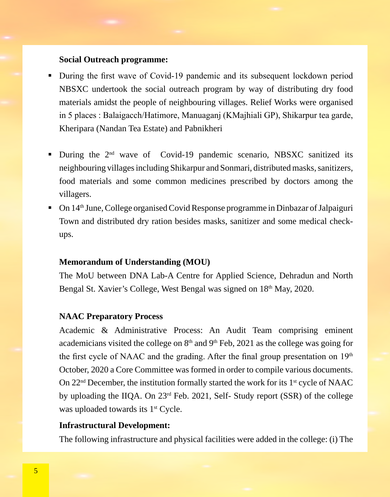## **Social Outreach programme:**

- During the first wave of Covid-19 pandemic and its subsequent lockdown period NBSXC undertook the social outreach program by way of distributing dry food materials amidst the people of neighbouring villages. Relief Works were organised in 5 places : Balaigacch/Hatimore, Manuaganj (KMajhiali GP), Shikarpur tea garde, Kheripara (Nandan Tea Estate) and Pabnikheri
- During the  $2<sup>nd</sup>$  wave of Covid-19 pandemic scenario, NBSXC sanitized its neighbouring villages including Shikarpur and Sonmari, distributed masks, sanitizers, food materials and some common medicines prescribed by doctors among the villagers.
- On 14th June, College organised Covid Response programme in Dinbazar of Jalpaiguri Town and distributed dry ration besides masks, sanitizer and some medical checkups.

## **Memorandum of Understanding (MOU)**

The MoU between DNA Lab-A Centre for Applied Science, Dehradun and North Bengal St. Xavier's College, West Bengal was signed on 18<sup>th</sup> May, 2020.

#### **NAAC Preparatory Process**

Academic & Administrative Process: An Audit Team comprising eminent academicians visited the college on  $8<sup>th</sup>$  and  $9<sup>th</sup>$  Feb, 2021 as the college was going for the first cycle of NAAC and the grading. After the final group presentation on  $19<sup>th</sup>$ October, 2020 a Core Committee was formed in order to compile various documents. On  $22<sup>nd</sup>$  December, the institution formally started the work for its 1<sup>st</sup> cycle of NAAC by uploading the IIQA. On 23rd Feb. 2021, Self- Study report (SSR) of the college was uploaded towards its  $1<sup>st</sup>$  Cycle.

### **Infrastructural Development:**

The following infrastructure and physical facilities were added in the college: (i) The